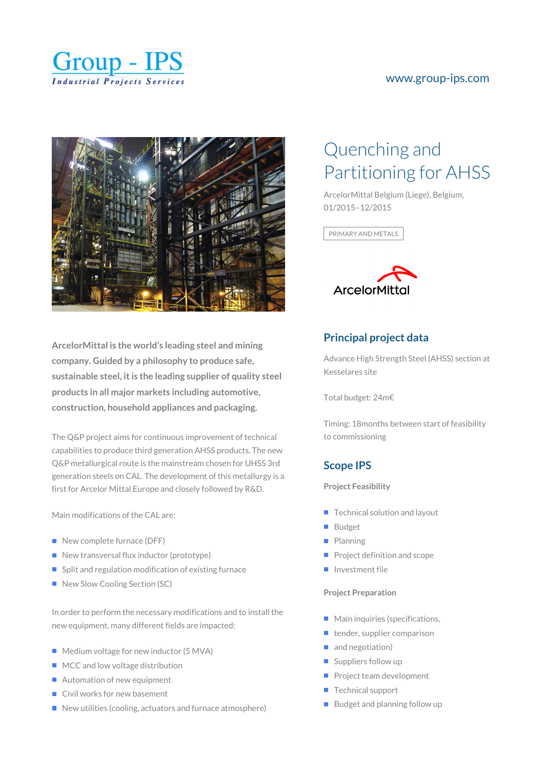

## [www.group-ips.com](https://www.group-ips.com/)



**ArcelorMittal is the world's leading steel and mining company. Guided by a philosophy to produce safe, sustainable steel, it is the leading supplier of quality steel products in all major markets including automotive, construction, household appliances and packaging.**

The Q&P project aims for continuous improvement of technical capabilities to produce third generation AHSS products. The new Q&P metallurgical route is the mainstream chosen for UHSS 3rd generation steels on CAL. The development of this metallurgy is a first for Arcelor Mittal Europe and closely followed by R&D.

Main modifications of the CAL are:

- $\blacksquare$  New complete furnace (DFF)
- $\blacksquare$  New transversal flux inductor (prototype)
- $\blacksquare$  Split and regulation modification of existing furnace
- New Slow Cooling Section (SC)

In order to perform the necessary modifications and to install the new equipment, many different fields are impacted:

- Medium voltage for new inductor (5 MVA)
- MCC and low voltage distribution
- Automation of new equipment
- Civil works for new basement
- $\blacksquare$  New utilities (cooling, actuators and furnace atmosphere)

# Quenching and Partitioning for AHSS

ArcelorMittal Belgium (Liege), Belgium, 01/2015–12/2015

PRIMARY AND METALS



# **Principal project data**

Advance High Strength Steel (AHSS) section at Kesselares site

Total budget: 24m€

Timing: 18months between start of feasibility to commissioning

### **Scope IPS**

#### **Project Feasibility**

- $\blacksquare$  Technical solution and layout
- **Budget**
- **Planning**
- $\blacksquare$  Project definition and scope
- Investment file

#### **Project Preparation**

- **Main inquiries (specifications,**
- $\blacksquare$  tender, supplier comparison
- and negotiation)
- Suppliers follow up
- **Project team development**
- $\blacksquare$  Technical support
- $\blacksquare$  Budget and planning follow up